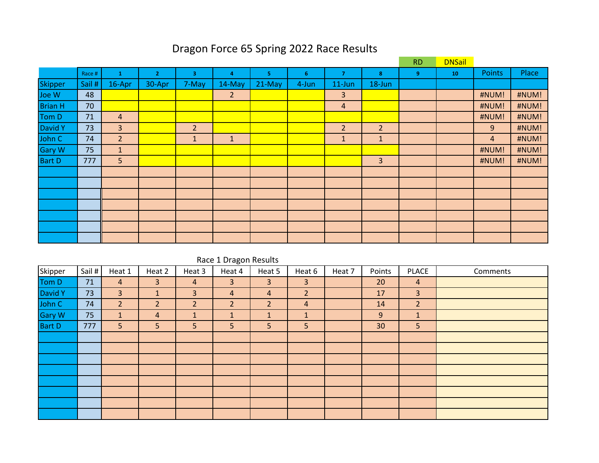# Dragon Force 65 Spring 2022 Race Results

|                |        |                |              |                | <b>RD</b>      | <b>DNSail</b> |       |                         |                |   |    |                |       |
|----------------|--------|----------------|--------------|----------------|----------------|---------------|-------|-------------------------|----------------|---|----|----------------|-------|
|                | Race # | 1              | $\mathbf{z}$ | 3              | 4              | 5.            | 6     | $\overline{\mathbf{z}}$ | 8              | 9 | 10 | <b>Points</b>  | Place |
| <b>Skipper</b> | Sail # | 16-Apr         | 30-Apr       | 7-May          | 14-May         | $21-May$      | 4-Jun | $11$ -Jun               | 18-Jun         |   |    |                |       |
| Joe W          | 48     |                |              |                | $\overline{2}$ |               |       | 3                       |                |   |    | #NUM!          | #NUM! |
| <b>Brian H</b> | 70     |                |              |                |                |               |       | $\overline{4}$          |                |   |    | #NUM!          | #NUM! |
| Tom D          | 71     | $\overline{4}$ |              |                |                |               |       |                         |                |   |    | #NUM!          | #NUM! |
| <b>David Y</b> | 73     | 3              |              | $\overline{2}$ |                |               |       | $\overline{2}$          | $\overline{2}$ |   |    | 9              | #NUM! |
| John C         | 74     | $\overline{2}$ |              | $\mathbf{1}$   | $\mathbf{1}$   |               |       | $\mathbf{1}$            | $\mathbf{1}$   |   |    | $\overline{4}$ | #NUM! |
| <b>Gary W</b>  | 75     | $\mathbf{1}$   |              |                |                |               |       |                         |                |   |    | #NUM!          | #NUM! |
| <b>Bart D</b>  | 777    | 5              |              |                |                |               |       |                         | $\overline{3}$ |   |    | #NUM!          | #NUM! |
|                |        |                |              |                |                |               |       |                         |                |   |    |                |       |
|                |        |                |              |                |                |               |       |                         |                |   |    |                |       |
|                |        |                |              |                |                |               |       |                         |                |   |    |                |       |
|                |        |                |              |                |                |               |       |                         |                |   |    |                |       |
|                |        |                |              |                |                |               |       |                         |                |   |    |                |       |
|                |        |                |              |                |                |               |       |                         |                |   |    |                |       |
|                |        |                |              |                |                |               |       |                         |                |   |    |                |       |

|               | Race 1 Dragon Results |                |                |                |                |                |                |        |        |                |          |  |  |  |  |
|---------------|-----------------------|----------------|----------------|----------------|----------------|----------------|----------------|--------|--------|----------------|----------|--|--|--|--|
| Skipper       | Sail#                 | Heat 1         | Heat 2         | Heat 3         | Heat 4         | Heat 5         | Heat 6         | Heat 7 | Points | <b>PLACE</b>   | Comments |  |  |  |  |
| Tom D         | 71                    | 4              | 3              | 4              | 3              | 3              | 3              |        | 20     | $\overline{4}$ |          |  |  |  |  |
| David Y       | 73                    | 3 <sup>1</sup> | $\mathbf{1}$   | 3              | $\overline{4}$ | 4              | $\overline{2}$ |        | 17     | $\overline{3}$ |          |  |  |  |  |
| John C        | 74                    | $\overline{2}$ | $\overline{2}$ | $\overline{2}$ | $\overline{2}$ | $\overline{2}$ | $\overline{4}$ |        | 14     | $\overline{2}$ |          |  |  |  |  |
| Gary W        | 75                    | $\mathbf{1}$   | 4              |                | $\mathbf{1}$   | $\mathbf{1}$   | $\mathbf{1}$   |        | 9      | $\mathbf{1}$   |          |  |  |  |  |
| <b>Bart D</b> | 777                   | 5              | 5              | 5              | 5              | 5              | 5              |        | 30     | 5 <sup>1</sup> |          |  |  |  |  |
|               |                       |                |                |                |                |                |                |        |        |                |          |  |  |  |  |
|               |                       |                |                |                |                |                |                |        |        |                |          |  |  |  |  |
|               |                       |                |                |                |                |                |                |        |        |                |          |  |  |  |  |
|               |                       |                |                |                |                |                |                |        |        |                |          |  |  |  |  |
|               |                       |                |                |                |                |                |                |        |        |                |          |  |  |  |  |
|               |                       |                |                |                |                |                |                |        |        |                |          |  |  |  |  |
|               |                       |                |                |                |                |                |                |        |        |                |          |  |  |  |  |
|               |                       |                |                |                |                |                |                |        |        |                |          |  |  |  |  |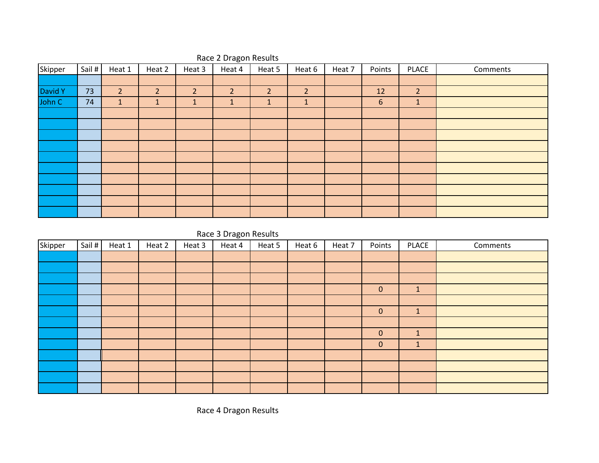| Skipper | Sail # | Heat 1         | Heat 2         | Heat 3         | ັ<br>Heat 4    | Heat 5         | Heat 6         | Heat 7 | Points | <b>PLACE</b>   | Comments |
|---------|--------|----------------|----------------|----------------|----------------|----------------|----------------|--------|--------|----------------|----------|
|         |        |                |                |                |                |                |                |        |        |                |          |
| David Y | 73     | $\overline{2}$ | $\overline{2}$ | $\overline{2}$ | $\overline{2}$ | $\overline{2}$ | $\overline{2}$ |        | 12     | $\overline{2}$ |          |
| John C  | 74     | $\mathbf{1}$   | $\mathbf{1}$   | $\mathbf{1}$   | $\mathbf{1}$   | $\mathbf{1}$   | $\mathbf{1}$   |        | 6      | $\mathbf{1}$   |          |
|         |        |                |                |                |                |                |                |        |        |                |          |
|         |        |                |                |                |                |                |                |        |        |                |          |
|         |        |                |                |                |                |                |                |        |        |                |          |
|         |        |                |                |                |                |                |                |        |        |                |          |
|         |        |                |                |                |                |                |                |        |        |                |          |
|         |        |                |                |                |                |                |                |        |        |                |          |
|         |        |                |                |                |                |                |                |        |        |                |          |
|         |        |                |                |                |                |                |                |        |        |                |          |
|         |        |                |                |                |                |                |                |        |        |                |          |
|         |        |                |                |                |                |                |                |        |        |                |          |

#### Race 2 Dragon Results

### Race 3 Dragon Results

| Skipper | Sail # | Heat 1 | Heat 2 | Heat 3 | Heat 4 | Heat 5 | Heat 6 | Heat 7 | Points       | PLACE        | Comments |
|---------|--------|--------|--------|--------|--------|--------|--------|--------|--------------|--------------|----------|
|         |        |        |        |        |        |        |        |        |              |              |          |
|         |        |        |        |        |        |        |        |        |              |              |          |
|         |        |        |        |        |        |        |        |        |              |              |          |
|         |        |        |        |        |        |        |        |        | $\mathbf{0}$ | $\mathbf{1}$ |          |
|         |        |        |        |        |        |        |        |        |              |              |          |
|         |        |        |        |        |        |        |        |        | $\mathbf{0}$ | $\mathbf{1}$ |          |
|         |        |        |        |        |        |        |        |        |              |              |          |
|         |        |        |        |        |        |        |        |        | $\mathbf{0}$ | $\mathbf{1}$ |          |
|         |        |        |        |        |        |        |        |        | $\mathbf{0}$ | $\mathbf{1}$ |          |
|         |        |        |        |        |        |        |        |        |              |              |          |
|         |        |        |        |        |        |        |        |        |              |              |          |
|         |        |        |        |        |        |        |        |        |              |              |          |
|         |        |        |        |        |        |        |        |        |              |              |          |

Race 4 Dragon Results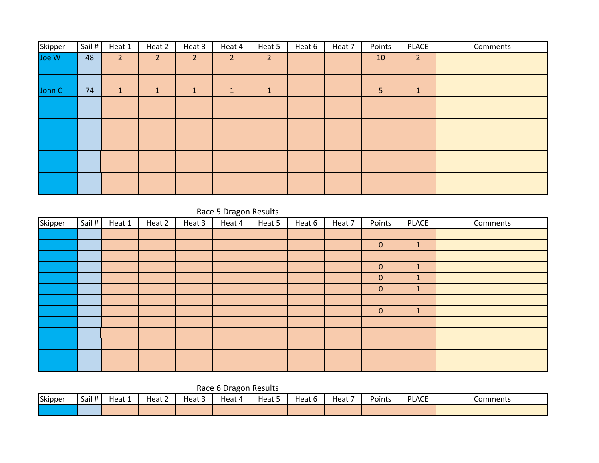| Skipper | Sail # | Heat 1         | Heat 2         | Heat 3         | Heat 4         | Heat 5         | Heat 6 | Heat 7 | Points | <b>PLACE</b>   | Comments |
|---------|--------|----------------|----------------|----------------|----------------|----------------|--------|--------|--------|----------------|----------|
| Joe W   | 48     | 2 <sup>1</sup> | $\overline{2}$ | 2 <sup>2</sup> | $\overline{2}$ | $\overline{2}$ |        |        | 10     | $\overline{2}$ |          |
|         |        |                |                |                |                |                |        |        |        |                |          |
|         |        |                |                |                |                |                |        |        |        |                |          |
| John C  | 74     | $\mathbf{1}$   | $\mathbf{1}$   | J.             | 1              | $\mathbf{1}$   |        |        | 5      | $\mathbf{1}$   |          |
|         |        |                |                |                |                |                |        |        |        |                |          |
|         |        |                |                |                |                |                |        |        |        |                |          |
|         |        |                |                |                |                |                |        |        |        |                |          |
|         |        |                |                |                |                |                |        |        |        |                |          |
|         |        |                |                |                |                |                |        |        |        |                |          |
|         |        |                |                |                |                |                |        |        |        |                |          |
|         |        |                |                |                |                |                |        |        |        |                |          |
|         |        |                |                |                |                |                |        |        |        |                |          |
|         |        |                |                |                |                |                |        |        |        |                |          |

#### Race 5 Dragon Results

| Skipper | Sail # | Heat 1 | Heat 2 | Heat 3 | $\overline{\phantom{0}}$<br>Heat 4 | Heat 5 | Heat 6 | Heat 7 | Points       | PLACE        | Comments |
|---------|--------|--------|--------|--------|------------------------------------|--------|--------|--------|--------------|--------------|----------|
|         |        |        |        |        |                                    |        |        |        |              |              |          |
|         |        |        |        |        |                                    |        |        |        | $\mathbf{0}$ | $\mathbf{1}$ |          |
|         |        |        |        |        |                                    |        |        |        |              |              |          |
|         |        |        |        |        |                                    |        |        |        | $\mathbf{0}$ | $\mathbf{1}$ |          |
|         |        |        |        |        |                                    |        |        |        | $\mathbf{0}$ | $\mathbf{1}$ |          |
|         |        |        |        |        |                                    |        |        |        | $\mathbf{0}$ | $\mathbf{1}$ |          |
|         |        |        |        |        |                                    |        |        |        |              |              |          |
|         |        |        |        |        |                                    |        |        |        | $\mathbf{0}$ | $\mathbf{1}$ |          |
|         |        |        |        |        |                                    |        |        |        |              |              |          |
|         |        |        |        |        |                                    |        |        |        |              |              |          |
|         |        |        |        |        |                                    |        |        |        |              |              |          |
|         |        |        |        |        |                                    |        |        |        |              |              |          |
|         |        |        |        |        |                                    |        |        |        |              |              |          |

Race 6 Dragon Results

| Skipper | Sail#' | Heat 1 | Heat 2 | $\sim$<br>Heat 5 | Heat 4 | Heat 5 | -<br>Heat 6 | Heat | Points | <b>PLACE</b> | Comments |
|---------|--------|--------|--------|------------------|--------|--------|-------------|------|--------|--------------|----------|
|         |        |        |        |                  |        |        |             |      |        |              |          |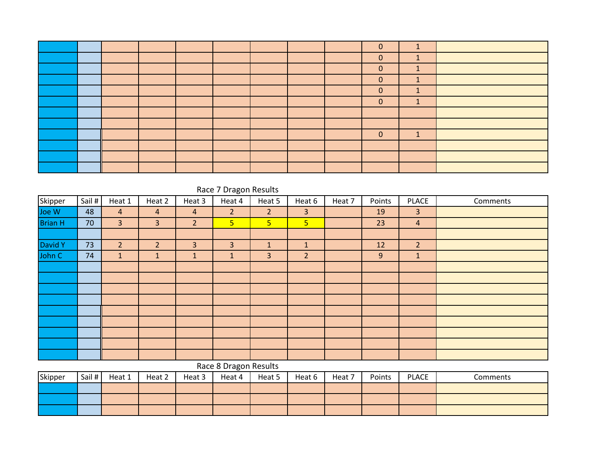|  |  |  |  | $\Omega$     |                                  |  |
|--|--|--|--|--------------|----------------------------------|--|
|  |  |  |  | $\mathbf{0}$ | $\blacktriangleleft$<br><b>L</b> |  |
|  |  |  |  | $\mathbf{0}$ | $\blacktriangleleft$<br>л.       |  |
|  |  |  |  | $\mathbf{0}$ | $\blacktriangleleft$<br>÷        |  |
|  |  |  |  | $\mathbf{0}$ | $\blacktriangleleft$<br>J.       |  |
|  |  |  |  | $\mathbf{0}$ | $\blacktriangleleft$<br>л.       |  |
|  |  |  |  |              |                                  |  |
|  |  |  |  |              |                                  |  |
|  |  |  |  | $\Omega$     | $\overline{\mathbf{A}}$          |  |
|  |  |  |  |              |                                  |  |
|  |  |  |  |              |                                  |  |
|  |  |  |  |              |                                  |  |

|                | Race 7 Dragon Results |                |                |                |                       |                |                |        |        |                |          |  |  |  |
|----------------|-----------------------|----------------|----------------|----------------|-----------------------|----------------|----------------|--------|--------|----------------|----------|--|--|--|
| Skipper        | Sail #                | Heat 1         | Heat 2         | Heat 3         | Heat 4                | Heat 5         | Heat 6         | Heat 7 | Points | <b>PLACE</b>   | Comments |  |  |  |
| Joe W          | 48                    | $\overline{4}$ | $\overline{a}$ | $\overline{4}$ | $\overline{2}$        | 2 <sup>1</sup> | 3              |        | 19     | $\overline{3}$ |          |  |  |  |
| <b>Brian H</b> | 70                    | $\overline{3}$ | 3              | $\overline{2}$ | 5 <sub>1</sub>        | 5 <sub>o</sub> | 5 <sup>5</sup> |        | 23     | $\overline{4}$ |          |  |  |  |
|                |                       |                |                |                |                       |                |                |        |        |                |          |  |  |  |
| David Y        | 73                    | $\overline{2}$ | $\overline{2}$ | 3              | $\overline{3}$        | $\mathbf{1}$   | $\mathbf{1}$   |        | 12     | $\overline{2}$ |          |  |  |  |
| John C         | 74                    | $\mathbf{1}$   | $\mathbf{1}$   | 1              | $\mathbf{1}$          | 3              | $\overline{2}$ |        | 9      | $\mathbf{1}$   |          |  |  |  |
|                |                       |                |                |                |                       |                |                |        |        |                |          |  |  |  |
|                |                       |                |                |                |                       |                |                |        |        |                |          |  |  |  |
|                |                       |                |                |                |                       |                |                |        |        |                |          |  |  |  |
|                |                       |                |                |                |                       |                |                |        |        |                |          |  |  |  |
|                |                       |                |                |                |                       |                |                |        |        |                |          |  |  |  |
|                |                       |                |                |                |                       |                |                |        |        |                |          |  |  |  |
|                |                       |                |                |                |                       |                |                |        |        |                |          |  |  |  |
|                |                       |                |                |                |                       |                |                |        |        |                |          |  |  |  |
|                |                       |                |                |                |                       |                |                |        |        |                |          |  |  |  |
|                |                       |                |                |                | Bass O.Bassen Basilla |                |                |        |        |                |          |  |  |  |

#### Race 8 Dragon Results

| Skipper | Sail # | Heat 1 | Heat 2 | Heat 3 | Heat 4 | Heat 5 | Heat 6 | Heat 7 | Points | PLACE | Comments |
|---------|--------|--------|--------|--------|--------|--------|--------|--------|--------|-------|----------|
|         |        |        |        |        |        |        |        |        |        |       |          |
|         |        |        |        |        |        |        |        |        |        |       |          |
|         |        |        |        |        |        |        |        |        |        |       |          |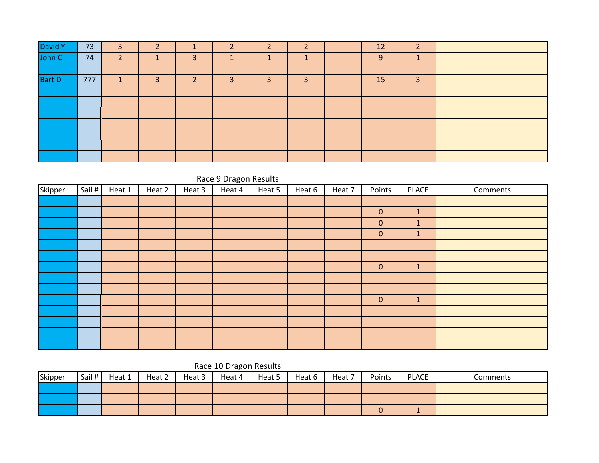|                   | 73  | 3                  | <sup>-</sup> |                   | ∍ | ∍ |              | 12 | <u>ີ</u><br>∠ |  |
|-------------------|-----|--------------------|--------------|-------------------|---|---|--------------|----|---------------|--|
| David Y<br>John C | 74  | $\mathcal{D}$<br>{ |              | 3                 |   |   |              | 9  |               |  |
|                   |     |                    |              |                   |   |   |              |    |               |  |
| <b>Bart D</b>     | 777 |                    | 3            | $\mathbf{\Omega}$ | 3 | 3 | $\mathbf{D}$ | 15 | 3             |  |
|                   |     |                    |              |                   |   |   |              |    |               |  |
|                   |     |                    |              |                   |   |   |              |    |               |  |
|                   |     |                    |              |                   |   |   |              |    |               |  |
|                   |     |                    |              |                   |   |   |              |    |               |  |
|                   |     |                    |              |                   |   |   |              |    |               |  |
|                   |     |                    |              |                   |   |   |              |    |               |  |
|                   |     |                    |              |                   |   |   |              |    |               |  |

## Race 9 Dragon Results

| Skipper | Sail # | Heat 1 | Heat 2 | Heat 3 | Heat 4 | Heat 5 | Heat 6 | Heat 7 | Points      | <b>PLACE</b> | Comments |
|---------|--------|--------|--------|--------|--------|--------|--------|--------|-------------|--------------|----------|
|         |        |        |        |        |        |        |        |        |             |              |          |
|         |        |        |        |        |        |        |        |        | $\mathbf 0$ | $\mathbf{1}$ |          |
|         |        |        |        |        |        |        |        |        | $\mathbf 0$ | $\mathbf{1}$ |          |
|         |        |        |        |        |        |        |        |        | $\mathbf 0$ | $\mathbf{1}$ |          |
|         |        |        |        |        |        |        |        |        |             |              |          |
|         |        |        |        |        |        |        |        |        |             |              |          |
|         |        |        |        |        |        |        |        |        | $\mathbf 0$ | $\mathbf{1}$ |          |
|         |        |        |        |        |        |        |        |        |             |              |          |
|         |        |        |        |        |        |        |        |        |             |              |          |
|         |        |        |        |        |        |        |        |        | $\pmb{0}$   | $\mathbf{1}$ |          |
|         |        |        |        |        |        |        |        |        |             |              |          |
|         |        |        |        |        |        |        |        |        |             |              |          |
|         |        |        |        |        |        |        |        |        |             |              |          |
|         |        |        |        |        |        |        |        |        |             |              |          |

### Race 10 Dragon Results

| Skipper | Sail # | Heat 1 | Heat 2 | Heat 3 | Heat 4 | Heat 5 | Heat 6 | Heat 7 | Points | <b>PLACE</b> | Comments |
|---------|--------|--------|--------|--------|--------|--------|--------|--------|--------|--------------|----------|
|         |        |        |        |        |        |        |        |        |        |              |          |
|         |        |        |        |        |        |        |        |        |        |              |          |
|         |        |        |        |        |        |        |        |        |        |              |          |